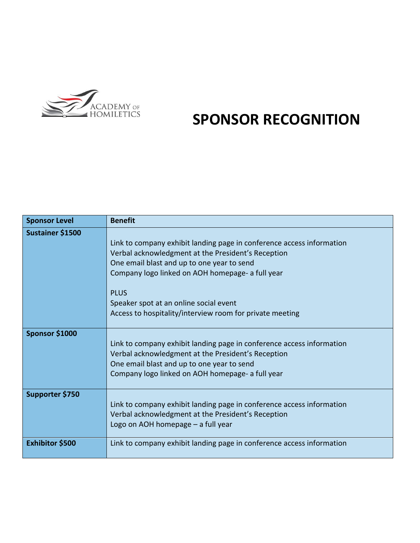

# **SPONSOR RECOGNITION**

| <b>Sponsor Level</b> | <b>Benefit</b>                                                                                                                                                                                                                                                                                                                                     |
|----------------------|----------------------------------------------------------------------------------------------------------------------------------------------------------------------------------------------------------------------------------------------------------------------------------------------------------------------------------------------------|
| Sustainer \$1500     | Link to company exhibit landing page in conference access information<br>Verbal acknowledgment at the President's Reception<br>One email blast and up to one year to send<br>Company logo linked on AOH homepage- a full year<br><b>PLUS</b><br>Speaker spot at an online social event<br>Access to hospitality/interview room for private meeting |
| Sponsor \$1000       | Link to company exhibit landing page in conference access information<br>Verbal acknowledgment at the President's Reception<br>One email blast and up to one year to send<br>Company logo linked on AOH homepage- a full year                                                                                                                      |
| Supporter \$750      | Link to company exhibit landing page in conference access information<br>Verbal acknowledgment at the President's Reception<br>Logo on AOH homepage - a full year                                                                                                                                                                                  |
| Exhibitor \$500      | Link to company exhibit landing page in conference access information                                                                                                                                                                                                                                                                              |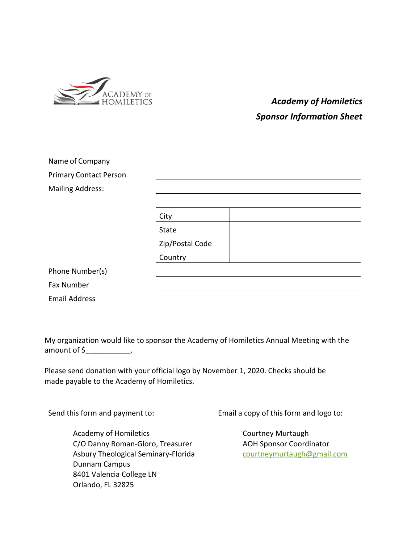

#### *Academy of Homiletics Sponsor Information Sheet*

| Name of Company               |                 |  |
|-------------------------------|-----------------|--|
| <b>Primary Contact Person</b> |                 |  |
| <b>Mailing Address:</b>       |                 |  |
|                               |                 |  |
|                               | City            |  |
|                               | <b>State</b>    |  |
|                               | Zip/Postal Code |  |
|                               | Country         |  |
| Phone Number(s)               |                 |  |
| <b>Fax Number</b>             |                 |  |
| <b>Email Address</b>          |                 |  |

My organization would like to sponsor the Academy of Homiletics Annual Meeting with the amount of \$

Please send donation with your official logo by November 1, 2020. Checks should be made payable to the Academy of Homiletics.

Send this form and payment to:

Academy of Homiletics C/O Danny Roman-Gloro, Treasurer Asbury Theological Seminary-Florida Dunnam Campus 8401 Valencia College LN Orlando, FL 32825

Email a copy of this form and logo to:

Courtney Murtaugh AOH Sponsor Coordinator [courtneymurtaugh@gmail.com](mailto:courtneymurtaugh@gmail.com)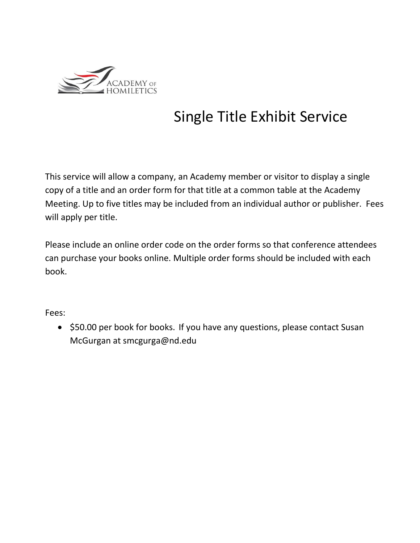

## Single Title Exhibit Service

This service will allow a company, an Academy member or visitor to display a single copy of a title and an order form for that title at a common table at the Academy Meeting. Up to five titles may be included from an individual author or publisher. Fees will apply per title.

Please include an online order code on the order forms so that conference attendees can purchase your books online. Multiple order forms should be included with each book.

Fees:

• \$50.00 per book for books. If you have any questions, please contact Susan McGurgan at smcgurga@nd.edu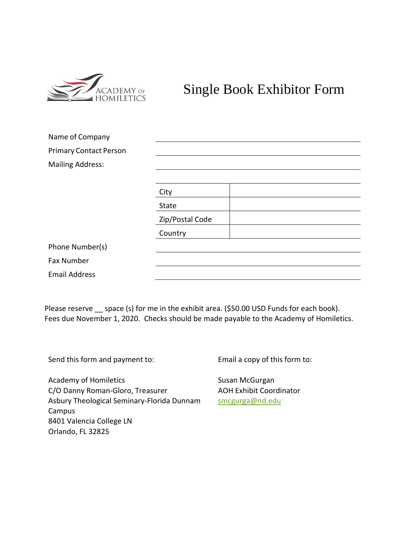

### Single Book Exhibitor Form

| Name of Company               |                 |
|-------------------------------|-----------------|
| <b>Primary Contact Person</b> |                 |
| <b>Mailing Address:</b>       |                 |
|                               |                 |
|                               | City            |
|                               | <b>State</b>    |
|                               | Zip/Postal Code |
|                               | Country         |
| Phone Number(s)               |                 |
| <b>Fax Number</b>             |                 |
| <b>Email Address</b>          |                 |

Please reserve \_\_ space (s) for me in the exhibit area. (\$50.00 USD Funds for each book). Fees due November 1, 2020. Checks should be made payable to the Academy of Homiletics.

Send this form and payment to:

Email a copy of this form to:

Academy of Homiletics C/O Danny Roman-Gloro, Treasurer Asbury Theological Seminary-Florida Dunnam Campus 8401 Valencia College LN Orlando, FL 32825

Susan McGurgan AOH Exhibit Coordinator [smcgurga@nd.edu](mailto:smcgurga@nd.edu)